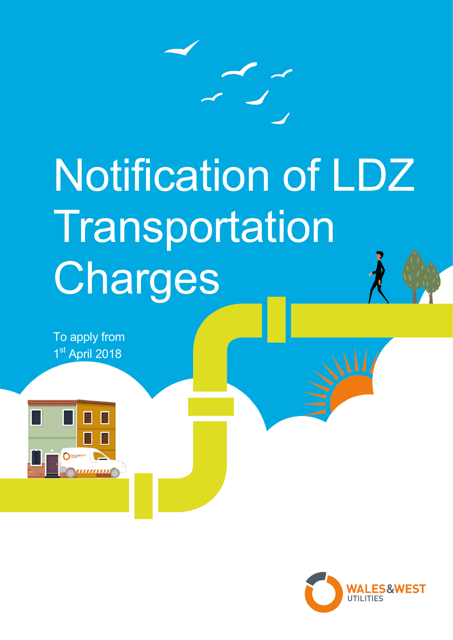

# Notification of LDZ Transportation Charges

To apply from 1st April 2018



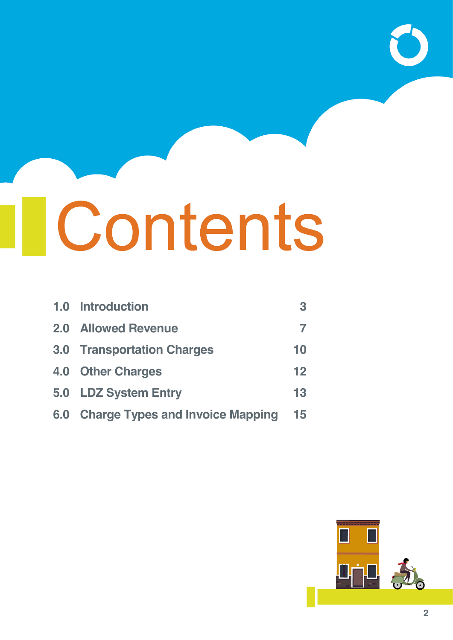# **I**Contents

|     | 1.0 Introduction                        | 3  |
|-----|-----------------------------------------|----|
|     | <b>2.0 Allowed Revenue</b>              | 7  |
|     | <b>3.0 Transportation Charges</b>       | 10 |
|     | 4.0 Other Charges                       | 12 |
|     | 5.0 LDZ System Entry                    | 13 |
| 6.0 | <b>Charge Types and Invoice Mapping</b> | 15 |

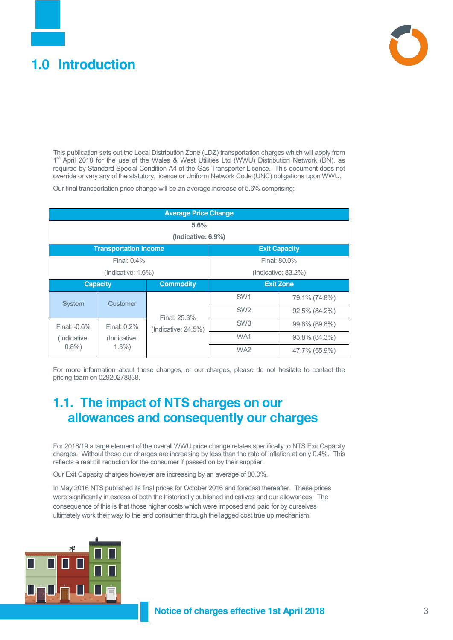#### <span id="page-2-0"></span>**1.0 Introduction**



This publication sets out the Local Distribution Zone (LDZ) transportation charges which will apply from 1<sup>st</sup> April 2018 for the use of the Wales & West Utilities Ltd (WWU) Distribution Network (DN), as required by Standard Special Condition A4 of the Gas Transporter Licence. This document does not override or vary any of the statutory, licence or Uniform Network Code (UNC) obligations upon WWU.

Our final transportation price change will be an average increase of 5.6% comprising:

| <b>Average Price Change</b>         |                                                      |                         |                   |               |  |  |
|-------------------------------------|------------------------------------------------------|-------------------------|-------------------|---------------|--|--|
|                                     | 5.6%                                                 |                         |                   |               |  |  |
|                                     |                                                      | (Indicative: 6.9%)      |                   |               |  |  |
|                                     | <b>Transportation Income</b><br><b>Exit Capacity</b> |                         |                   |               |  |  |
| Final: 0.4%                         |                                                      |                         |                   | Final: 80.0%  |  |  |
| (Indicate: 1.6%)                    |                                                      |                         | (Indicate: 83.2%) |               |  |  |
| <b>Commodity</b><br><b>Capacity</b> |                                                      | <b>Exit Zone</b>        |                   |               |  |  |
| System                              | Customer                                             |                         | SW <sub>1</sub>   | 79.1% (74.8%) |  |  |
|                                     |                                                      | Final: 25.3%            | SW <sub>2</sub>   | 92.5% (84.2%) |  |  |
| Final: -0.6%                        | Final: 0.2%                                          | (Indicative: $24.5\%$ ) | SW <sub>3</sub>   | 99.8% (89.8%) |  |  |
| (Indicative:                        | (Indicative:                                         |                         | WA1               | 93.8% (84.3%) |  |  |
| $0.8\%$ )                           | $1.3\%$ )                                            |                         | WA <sub>2</sub>   | 47.7% (55.9%) |  |  |

For more information about these changes, or our charges, please do not hesitate to contact the pricing team on 02920278838.

#### **1.1. The impact of NTS charges on our allowances and consequently our charges**

For 2018/19 a large element of the overall WWU price change relates specifically to NTS Exit Capacity charges. Without these our charges are increasing by less than the rate of inflation at only 0.4%. This reflects a real bill reduction for the consumer if passed on by their supplier.

Our Exit Capacity charges however are increasing by an average of 80.0%.

In May 2016 NTS published its final prices for October 2016 and forecast thereafter. These prices were significantly in excess of both the historically published indicatives and our allowances. The consequence of this is that those higher costs which were imposed and paid for by ourselves ultimately work their way to the end consumer through the lagged cost true up mechanism.

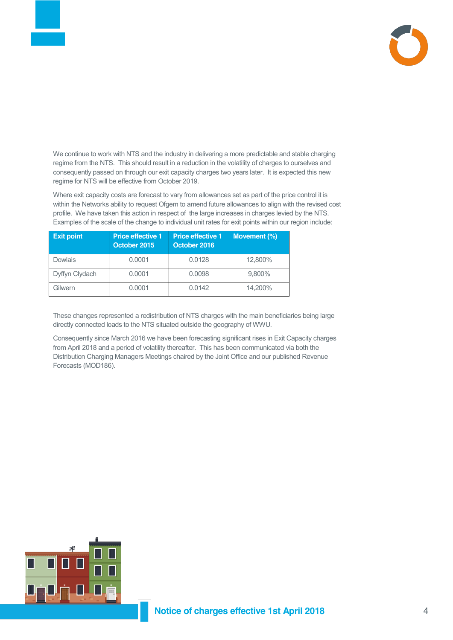

We continue to work with NTS and the industry in delivering a more predictable and stable charging regime from the NTS. This should result in a reduction in the volatility of charges to ourselves and consequently passed on through our exit capacity charges two years later. It is expected this new regime for NTS will be effective from October 2019.

Where exit capacity costs are forecast to vary from allowances set as part of the price control it is within the Networks ability to request Ofgem to amend future allowances to align with the revised cost profile. We have taken this action in respect of the large increases in charges levied by the NTS. Examples of the scale of the change to individual unit rates for exit points within our region include:

| <b>Exit point</b> | <b>Price effective 1</b><br>October 2015 | <b>Price effective 1</b><br>October 2016 | Movement (%) |
|-------------------|------------------------------------------|------------------------------------------|--------------|
| Dowlais           | 0.0001                                   | 0.0128                                   | 12,800%      |
| Dyffyn Clydach    | 0.0001                                   | 0.0098                                   | 9,800%       |
| Gilwern           | 0.0001                                   | 0.0142                                   | 14,200%      |

These changes represented a redistribution of NTS charges with the main beneficiaries being large directly connected loads to the NTS situated outside the geography of WWU.

Consequently since March 2016 we have been forecasting significant rises in Exit Capacity charges from April 2018 and a period of volatility thereafter. This has been communicated via both the Distribution Charging Managers Meetings chaired by the Joint Office and our published Revenue Forecasts (MOD186).

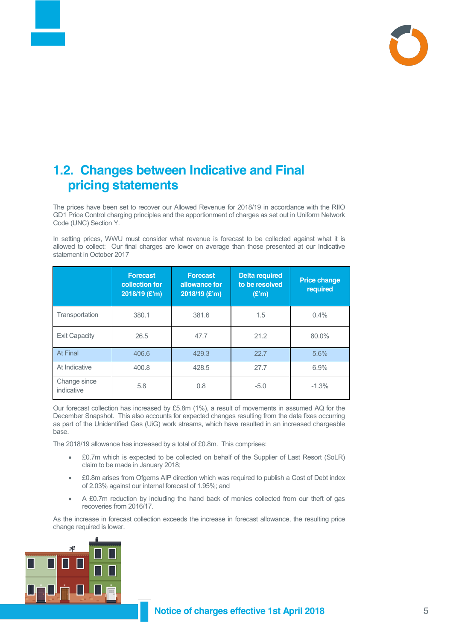

#### **1.2. Changes between Indicative and Final pricing statements**

The prices have been set to recover our Allowed Revenue for 2018/19 in accordance with the RIIO GD1 Price Control charging principles and the apportionment of charges as set out in Uniform Network Code (UNC) Section Y.

In setting prices, WWU must consider what revenue is forecast to be collected against what it is allowed to collect: Our final charges are lower on average than those presented at our Indicative statement in October 2017

|                            | <b>Forecast</b><br>collection for<br>2018/19 (£'m) | <b>Forecast</b><br>allowance for<br>2018/19 (£'m) | <b>Delta required</b><br>to be resolved<br>(E'm) | <b>Price change</b><br>required |
|----------------------------|----------------------------------------------------|---------------------------------------------------|--------------------------------------------------|---------------------------------|
| Transportation             | 380.1                                              | 381.6                                             | 1.5                                              | $0.4\%$                         |
| <b>Exit Capacity</b>       | 26.5                                               | 47.7                                              | 21.2                                             | 80.0%                           |
| At Final                   | 406.6                                              | 429.3                                             | 22.7                                             | 5.6%                            |
| At Indicative              | 400.8                                              | 428.5                                             | 27.7                                             | 6.9%                            |
| Change since<br>indicative | 5.8                                                | 0.8                                               | $-5.0$                                           | $-1.3%$                         |

Our forecast collection has increased by £5.8m (1%), a result of movements in assumed AQ for the December Snapshot. This also accounts for expected changes resulting from the data fixes occurring as part of the Unidentified Gas (UiG) work streams, which have resulted in an increased chargeable base.

The 2018/19 allowance has increased by a total of £0.8m. This comprises:

- x £0.7m which is expected to be collected on behalf of the Supplier of Last Resort (SoLR) claim to be made in January 2018;
- £0.8m arises from Ofgems AIP direction which was required to publish a Cost of Debt index of 2.03% against our internal forecast of 1.95%; and
- A £0.7m reduction by including the hand back of monies collected from our theft of gas recoveries from 2016/17.

As the increase in forecast collection exceeds the increase in forecast allowance, the resulting price change required is lower.

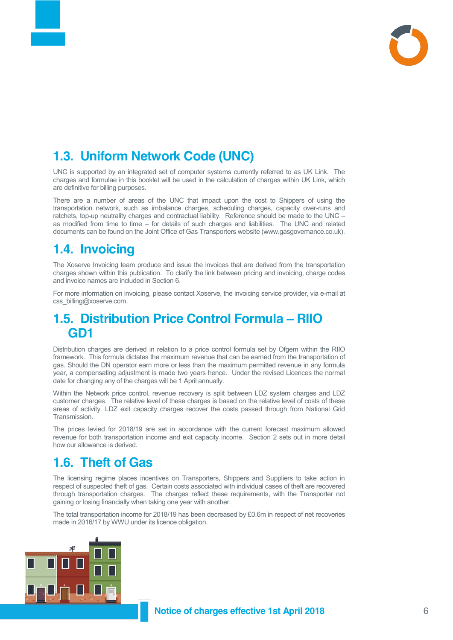

#### **1.3. Uniform Network Code (UNC)**

UNC is supported by an integrated set of computer systems currently referred to as UK Link. The charges and formulae in this booklet will be used in the calculation of charges within UK Link, which are definitive for billing purposes.

There are a number of areas of the UNC that impact upon the cost to Shippers of using the transportation network, such as imbalance charges, scheduling charges, capacity over-runs and ratchets, top-up neutrality charges and contractual liability. Reference should be made to the UNC – as modified from time to time – for details of such charges and liabilities. The UNC and related documents can be found on the Joint Office of Gas Transporters website [\(www.gasgovernance.co.uk\)](http://www.gasgovernance.co.uk/).

#### **1.4. Invoicing**

The Xoserve Invoicing team produce and issue the invoices that are derived from the transportation charges shown within this publication. To clarify the link between pricing and invoicing, charge codes and invoice names are included in Section 6.

For more information on invoicing, please contact Xoserve, the invoicing service provider, via e-mail at [css\\_billing@xoserve.com.](mailto:css_billing@xoserve.com)

#### **1.5. Distribution Price Control Formula – RIIO GD1**

Distribution charges are derived in relation to a price control formula set by Ofgem within the RIIO framework. This formula dictates the maximum revenue that can be earned from the transportation of gas. Should the DN operator earn more or less than the maximum permitted revenue in any formula year, a compensating adjustment is made two years hence. Under the revised Licences the normal date for changing any of the charges will be 1 April annually.

Within the Network price control, revenue recovery is split between LDZ system charges and LDZ customer charges. The relative level of these charges is based on the relative level of costs of these areas of activity. LDZ exit capacity charges recover the costs passed through from National Grid Transmission.

The prices levied for 2018/19 are set in accordance with the current forecast maximum allowed revenue for both transportation income and exit capacity income. Section 2 sets out in more detail how our allowance is derived.

#### **1.6. Theft of Gas**

The licensing regime places incentives on Transporters, Shippers and Suppliers to take action in respect of suspected theft of gas. Certain costs associated with individual cases of theft are recovered through transportation charges. The charges reflect these requirements, with the Transporter not gaining or losing financially when taking one year with another.

The total transportation income for 2018/19 has been decreased by £0.6m in respect of net recoveries made in 2016/17 by WWU under its licence obligation.

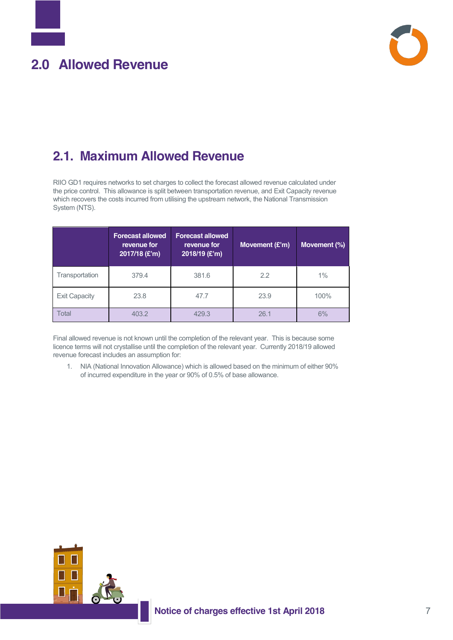

#### <span id="page-6-0"></span>**2.1. Maximum Allowed Revenue**

RIIO GD1 requires networks to set charges to collect the forecast allowed revenue calculated under the price control. This allowance is split between transportation revenue, and Exit Capacity revenue which recovers the costs incurred from utilising the upstream network, the National Transmission System (NTS).

|                      | <b>Forecast allowed</b><br>revenue for<br>2017/18 (£'m) | <b>Forecast allowed</b><br>revenue for<br>2018/19 (£'m) | Movement (£'m) | Movement (%) |
|----------------------|---------------------------------------------------------|---------------------------------------------------------|----------------|--------------|
| Transportation       | 379.4                                                   | 381.6                                                   | 2.2            | $1\%$        |
| <b>Exit Capacity</b> | 23.8                                                    | 47.7                                                    | 23.9           | 100%         |
| Total                | 403.2                                                   | 429.3                                                   | 26.1           | 6%           |

Final allowed revenue is not known until the completion of the relevant year. This is because some licence terms will not crystallise until the completion of the relevant year. Currently 2018/19 allowed revenue forecast includes an assumption for:

1. NIA (National Innovation Allowance) which is allowed based on the minimum of either 90% of incurred expenditure in the year or 90% of 0.5% of base allowance.

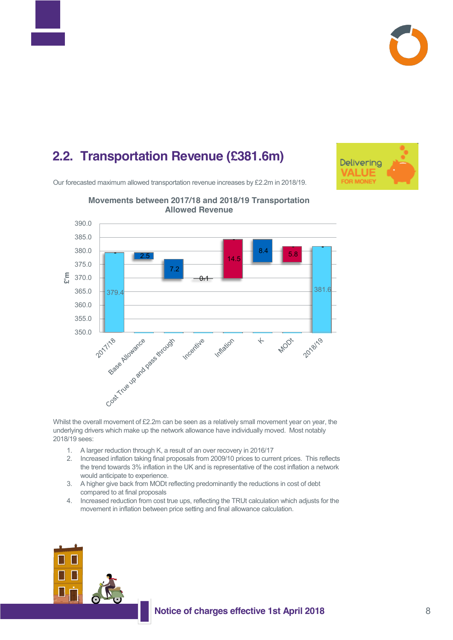



#### **2.2. Transportation Revenue (£381.6m)**

Our forecasted maximum allowed transportation revenue increases by £2.2m in 2018/19.





#### **Movements between 2017/18 and 2018/19 Transportation Allowed Revenue**

Whilst the overall movement of £2.2m can be seen as a relatively small movement year on year, the underlying drivers which make up the network allowance have individually moved. Most notably 2018/19 sees:

- 1. A larger reduction through K, a result of an over recovery in 2016/17
- 2. Increased inflation taking final proposals from 2009/10 prices to current prices. This reflects the trend towards 3% inflation in the UK and is representative of the cost inflation a network would anticipate to experience.
- 3. A higher give back from MODt reflecting predominantly the reductions in cost of debt compared to at final proposals
- 4. Increased reduction from cost true ups, reflecting the TRUt calculation which adjusts for the movement in inflation between price setting and final allowance calculation.

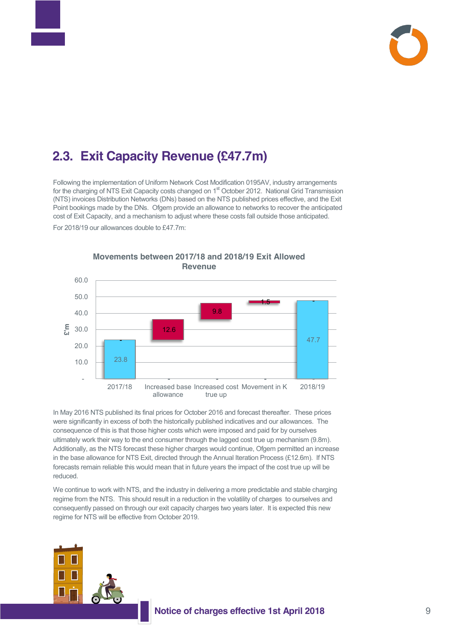

#### **2.3. Exit Capacity Revenue (£47.7m)**

Following the implementation of Uniform Network Cost Modification 0195AV, industry arrangements for the charging of NTS Exit Capacity costs changed on 1<sup>st</sup> October 2012. National Grid Transmission (NTS) invoices Distribution Networks (DNs) based on the NTS published prices effective, and the Exit Point bookings made by the DNs. Ofgem provide an allowance to networks to recover the anticipated cost of Exit Capacity, and a mechanism to adjust where these costs fall outside those anticipated. For 2018/19 our allowances double to £47.7m:



**Movements between 2017/18 and 2018/19 Exit Allowed Revenue**

In May 2016 NTS published its final prices for October 2016 and forecast thereafter. These prices were significantly in excess of both the historically published indicatives and our allowances. The consequence of this is that those higher costs which were imposed and paid for by ourselves ultimately work their way to the end consumer through the lagged cost true up mechanism (9.8m). Additionally, as the NTS forecast these higher charges would continue, Ofgem permitted an increase in the base allowance for NTS Exit, directed through the Annual Iteration Process (£12.6m). If NTS forecasts remain reliable this would mean that in future years the impact of the cost true up will be reduced.

We continue to work with NTS, and the industry in delivering a more predictable and stable charging regime from the NTS. This should result in a reduction in the volatility of charges to ourselves and consequently passed on through our exit capacity charges two years later. It is expected this new regime for NTS will be effective from October 2019.

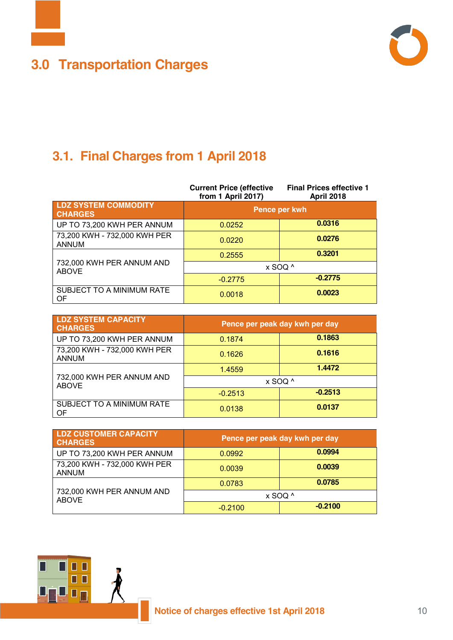

## <span id="page-9-0"></span>**3.0 Transportation Charges**



## **3.1. Final Charges from 1 April 2018**

|                                               | <b>Current Price (effective</b><br>from 1 April 2017) | <b>Final Prices effective 1</b><br><b>April 2018</b> |  |
|-----------------------------------------------|-------------------------------------------------------|------------------------------------------------------|--|
| <b>LDZ SYSTEM COMMODITY</b><br><b>CHARGES</b> | Pence per kwh                                         |                                                      |  |
| UP TO 73,200 KWH PER ANNUM                    | 0.0252                                                | 0.0316                                               |  |
| 73,200 KWH - 732,000 KWH PER<br><b>ANNUM</b>  | 0.0220                                                | 0.0276                                               |  |
|                                               | 0.2555                                                | 0.3201                                               |  |
| 732,000 KWH PER ANNUM AND<br><b>ABOVE</b>     |                                                       | x SOQ ^                                              |  |
|                                               | $-0.2775$                                             | $-0.2775$                                            |  |
| SUBJECT TO A MINIMUM RATE<br>OF               | 0.0018                                                | 0.0023                                               |  |

| <b>LDZ SYSTEM CAPACITY</b><br><b>CHARGES</b> | Pence per peak day kwh per day |           |
|----------------------------------------------|--------------------------------|-----------|
| UP TO 73,200 KWH PER ANNUM                   | 0.1874                         | 0.1863    |
| 73,200 KWH - 732,000 KWH PER<br><b>ANNUM</b> | 0.1626                         | 0.1616    |
|                                              | 1.4559                         | 1.4472    |
| 732,000 KWH PER ANNUM AND<br><b>ABOVE</b>    |                                | x SOQ ^   |
|                                              | $-0.2513$                      | $-0.2513$ |
| SUBJECT TO A MINIMUM RATE<br>OF              | 0.0138                         | 0.0137    |

| <b>LDZ CUSTOMER CAPACITY</b><br><b>CHARGES</b> | Pence per peak day kwh per day |           |
|------------------------------------------------|--------------------------------|-----------|
| UP TO 73,200 KWH PER ANNUM                     | 0.0992                         | 0.0994    |
| 73,200 KWH - 732,000 KWH PER<br><b>ANNUM</b>   | 0.0039                         | 0.0039    |
|                                                | 0.0783                         | 0.0785    |
| 732,000 KWH PER ANNUM AND<br><b>ABOVE</b>      | x SOQ ^                        |           |
|                                                | $-0.2100$                      | $-0.2100$ |

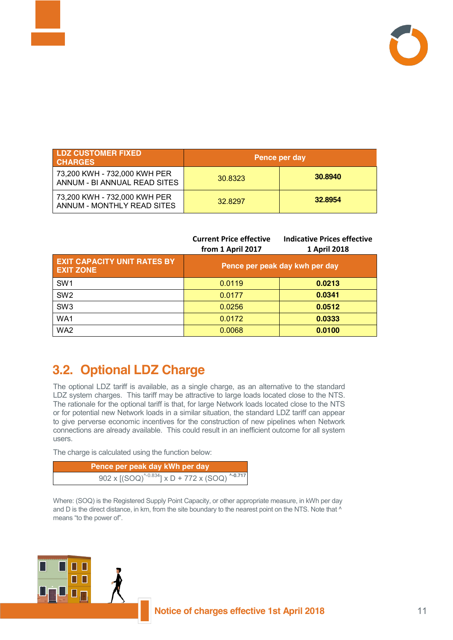

| <b>LDZ CUSTOMER FIXED</b><br><b>CHARGES</b>                  |         | Pence per day |
|--------------------------------------------------------------|---------|---------------|
| 73,200 KWH - 732,000 KWH PER<br>ANNUM - BI ANNUAL READ SITES | 30.8323 | 30.8940       |
| 73,200 KWH - 732,000 KWH PER<br>ANNUM - MONTHLY READ SITES   | 32.8297 | 32.8954       |

|                                                        | <b>Current Price effective</b><br>from 1 April 2017 | <b>Indicative Prices effective</b><br>1 April 2018 |
|--------------------------------------------------------|-----------------------------------------------------|----------------------------------------------------|
| <b>EXIT CAPACITY UNIT RATES BY</b><br><b>EXIT ZONE</b> |                                                     | Pence per peak day kwh per day                     |
| SW <sub>1</sub>                                        | 0.0119                                              | 0.0213                                             |
| SW <sub>2</sub>                                        | 0.0177                                              | 0.0341                                             |
| SW <sub>3</sub>                                        | 0.0256                                              | 0.0512                                             |
| WA1                                                    | 0.0172                                              | 0.0333                                             |
| WA2                                                    | 0.0068                                              | 0.0100                                             |

#### **3.2. Optional LDZ Charge**

The optional LDZ tariff is available, as a single charge, as an alternative to the standard LDZ system charges. This tariff may be attractive to large loads located close to the NTS. The rationale for the optional tariff is that, for large Network loads located close to the NTS or for potential new Network loads in a similar situation, the standard LDZ tariff can appear to give perverse economic incentives for the construction of new pipelines when Network connections are already available. This could result in an inefficient outcome for all system users.

The charge is calculated using the function below:

п п

 $\blacksquare$ 

| Pence per peak day kWh per day                                    |
|-------------------------------------------------------------------|
| 902 x $[(SOQ)^{(-0.834]} \times D + 772 \times (SOQ)^{(-0.717)}]$ |

Where: (SOQ) is the Registered Supply Point Capacity, or other appropriate measure, in kWh per day and D is the direct distance, in km, from the site boundary to the nearest point on the NTS. Note that  $^{\wedge}$ means "to the power of".

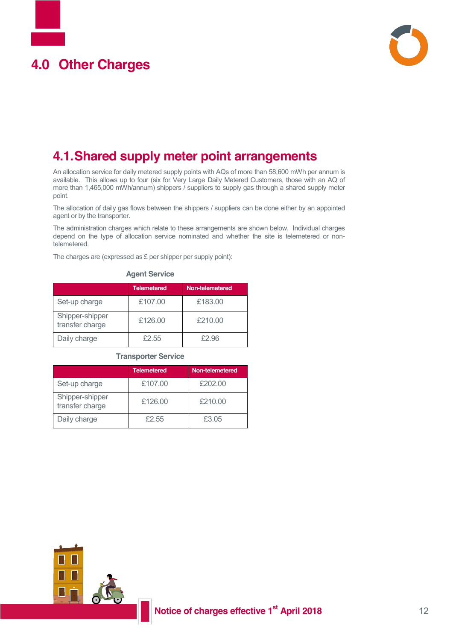# <span id="page-11-0"></span>**4.0 Other Charges**



#### **4.1.Shared supply meter point arrangements**

An allocation service for daily metered supply points with AQs of more than 58,600 mWh per annum is available. This allows up to four (six for Very Large Daily Metered Customers, those with an AQ of more than 1,465,000 mWh/annum) shippers / suppliers to supply gas through a shared supply meter point.

The allocation of daily gas flows between the shippers / suppliers can be done either by an appointed agent or by the transporter.

The administration charges which relate to these arrangements are shown below. Individual charges depend on the type of allocation service nominated and whether the site is telemetered or nontelemetered.

The charges are (expressed as £ per shipper per supply point):

|                                    | <b>Telemetered</b> | Non-telemetered |
|------------------------------------|--------------------|-----------------|
| Set-up charge                      | £107.00            | £183.00         |
| Shipper-shipper<br>transfer charge | £126.00            | £210.00         |
| Daily charge                       | £2.55              | £2.96           |

#### **Agent Service**

#### **Transporter Service**

|                                    | <b>Telemetered</b> | Non-telemetered |
|------------------------------------|--------------------|-----------------|
| Set-up charge                      | £107.00            | £202.00         |
| Shipper-shipper<br>transfer charge | £126.00            | £210.00         |
| Daily charge                       | £2.55              | £3.05           |

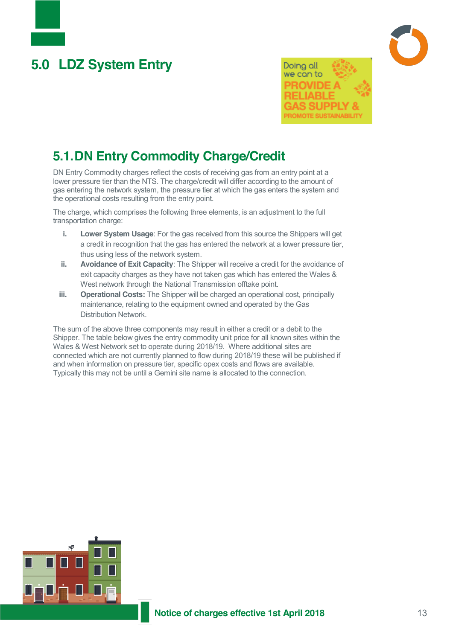# <span id="page-12-0"></span>**5.0 LDZ System Entry**



#### **5.1.DN Entry Commodity Charge/Credit**

DN Entry Commodity charges reflect the costs of receiving gas from an entry point at a lower pressure tier than the NTS. The charge/credit will differ according to the amount of gas entering the network system, the pressure tier at which the gas enters the system and the operational costs resulting from the entry point.

The charge, which comprises the following three elements, is an adjustment to the full transportation charge:

- **i. Lower System Usage**: For the gas received from this source the Shippers will get a credit in recognition that the gas has entered the network at a lower pressure tier, thus using less of the network system.
- **ii. Avoidance of Exit Capacity**: The Shipper will receive a credit for the avoidance of exit capacity charges as they have not taken gas which has entered the Wales & West network through the National Transmission offtake point.
- **iii. Operational Costs:** The Shipper will be charged an operational cost, principally maintenance, relating to the equipment owned and operated by the Gas Distribution Network.

The sum of the above three components may result in either a credit or a debit to the Shipper. The table below gives the entry commodity unit price for all known sites within the Wales & West Network set to operate during 2018/19. Where additional sites are connected which are not currently planned to flow during 2018/19 these will be published if and when information on pressure tier, specific opex costs and flows are available. Typically this may not be until a Gemini site name is allocated to the connection.

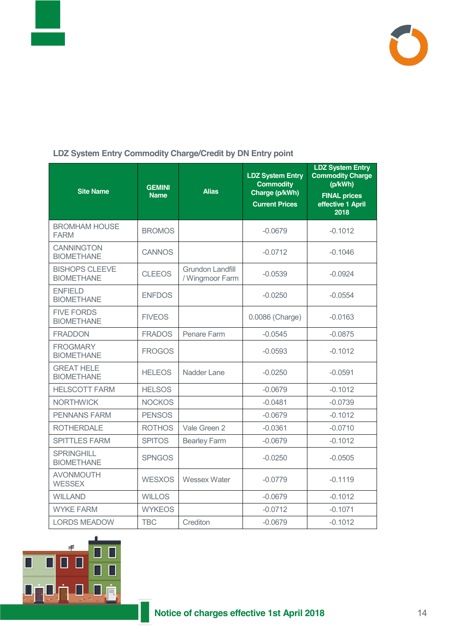



#### **LDZ System Entry Commodity Charge/Credit by DN Entry point**

| <b>Site Name</b>                           | <b>GEMINI</b><br><b>Name</b> | <b>Alias</b>                               | <b>LDZ System Entry</b><br><b>Commodity</b><br>Charge (p/kWh)<br><b>Current Prices</b> | <b>LDZ System Entry</b><br><b>Commodity Charge</b><br>(p/kWh)<br><b>FINAL prices</b><br>effective 1 April<br>2018 |
|--------------------------------------------|------------------------------|--------------------------------------------|----------------------------------------------------------------------------------------|-------------------------------------------------------------------------------------------------------------------|
| <b>BROMHAM HOUSE</b><br><b>FARM</b>        | <b>BROMOS</b>                |                                            | $-0.0679$                                                                              | $-0.1012$                                                                                                         |
| <b>CANNINGTON</b><br><b>BIOMETHANE</b>     | <b>CANNOS</b>                |                                            | $-0.0712$                                                                              | $-0.1046$                                                                                                         |
| <b>BISHOPS CLEEVE</b><br><b>BIOMETHANE</b> | <b>CLEEOS</b>                | <b>Grundon Landfill</b><br>/ Wingmoor Farm | $-0.0539$                                                                              | $-0.0924$                                                                                                         |
| <b>ENFIELD</b><br><b>BIOMETHANE</b>        | <b>ENFDOS</b>                |                                            | $-0.0250$                                                                              | $-0.0554$                                                                                                         |
| <b>FIVE FORDS</b><br><b>BIOMETHANE</b>     | <b>FIVEOS</b>                |                                            | 0.0086 (Charge)                                                                        | $-0.0163$                                                                                                         |
| <b>FRADDON</b>                             | <b>FRADOS</b>                | Penare Farm                                | $-0.0545$                                                                              | $-0.0875$                                                                                                         |
| <b>FROGMARY</b><br><b>BIOMETHANE</b>       | <b>FROGOS</b>                |                                            | $-0.0593$                                                                              | $-0.1012$                                                                                                         |
| <b>GREAT HELE</b><br><b>BIOMETHANE</b>     | <b>HELEOS</b>                | Nadder Lane                                | $-0.0250$                                                                              | $-0.0591$                                                                                                         |
| <b>HELSCOTT FARM</b>                       | <b>HELSOS</b>                |                                            | $-0.0679$                                                                              | $-0.1012$                                                                                                         |
| <b>NORTHWICK</b>                           | <b>NOCKOS</b>                |                                            | $-0.0481$                                                                              | $-0.0739$                                                                                                         |
| <b>PENNANS FARM</b>                        | <b>PENSOS</b>                |                                            | $-0.0679$                                                                              | $-0.1012$                                                                                                         |
| <b>ROTHERDALE</b>                          | <b>ROTHOS</b>                | Vale Green 2                               | $-0.0361$                                                                              | $-0.0710$                                                                                                         |
| <b>SPITTLES FARM</b>                       | <b>SPITOS</b>                | <b>Bearley Farm</b>                        | $-0.0679$                                                                              | $-0.1012$                                                                                                         |
| <b>SPRINGHILL</b><br><b>BIOMETHANE</b>     | <b>SPNGOS</b>                |                                            | $-0.0250$                                                                              | $-0.0505$                                                                                                         |
| <b>AVONMOUTH</b><br><b>WESSEX</b>          | <b>WESXOS</b>                | <b>Wessex Water</b>                        | $-0.0779$                                                                              | $-0.1119$                                                                                                         |
| <b>WILLAND</b>                             | <b>WILLOS</b>                |                                            | $-0.0679$                                                                              | $-0.1012$                                                                                                         |
| <b>WYKE FARM</b>                           | <b>WYKEOS</b>                |                                            | $-0.0712$                                                                              | $-0.1071$                                                                                                         |
| <b>LORDS MEADOW</b>                        | <b>TBC</b>                   | Crediton                                   | $-0.0679$                                                                              | $-0.1012$                                                                                                         |

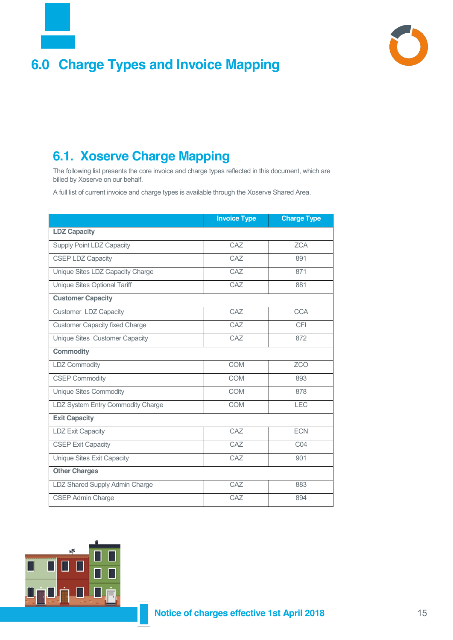

### <span id="page-14-0"></span>**6.0 Charge Types and Invoice Mapping**



#### **6.1. Xoserve Charge Mapping**

The following list presents the core invoice and charge types reflected in this document, which are billed by Xoserve on our behalf.

A full list of current invoice and charge types is available through the Xoserve Shared Area.

|                                       | <b>Invoice Type</b> | <b>Charge Type</b> |  |  |  |
|---------------------------------------|---------------------|--------------------|--|--|--|
| <b>LDZ Capacity</b>                   |                     |                    |  |  |  |
| <b>Supply Point LDZ Capacity</b>      | CAZ                 | <b>ZCA</b>         |  |  |  |
| <b>CSEP LDZ Capacity</b>              | CAZ                 | 891                |  |  |  |
| Unique Sites LDZ Capacity Charge      | CA <sub>7</sub>     | 871                |  |  |  |
| Unique Sites Optional Tariff          | CAZ                 | 881                |  |  |  |
| <b>Customer Capacity</b>              |                     |                    |  |  |  |
| Customer LDZ Capacity                 | CAZ                 | <b>CCA</b>         |  |  |  |
| <b>Customer Capacity fixed Charge</b> | CAZ                 | CFI                |  |  |  |
| Unique Sites Customer Capacity        | CAZ                 | 872                |  |  |  |
| <b>Commodity</b>                      |                     |                    |  |  |  |
| LDZ Commodity                         | <b>COM</b>          | <b>ZCO</b>         |  |  |  |
| <b>CSEP Commodity</b>                 | <b>COM</b>          | 893                |  |  |  |
| <b>Unique Sites Commodity</b>         | <b>COM</b>          | 878                |  |  |  |
| LDZ System Entry Commodity Charge     | <b>COM</b>          | <b>LEC</b>         |  |  |  |
| <b>Exit Capacity</b>                  |                     |                    |  |  |  |
| <b>LDZ Exit Capacity</b>              | CAZ                 | <b>ECN</b>         |  |  |  |
| <b>CSEP Exit Capacity</b>             | CA <sub>7</sub>     | CO <sub>4</sub>    |  |  |  |
| Unique Sites Exit Capacity            | CAZ                 | 901                |  |  |  |
| <b>Other Charges</b>                  |                     |                    |  |  |  |
| LDZ Shared Supply Admin Charge        | CAZ                 | 883                |  |  |  |
| <b>CSEP Admin Charge</b>              | CA <sub>7</sub>     | 894                |  |  |  |